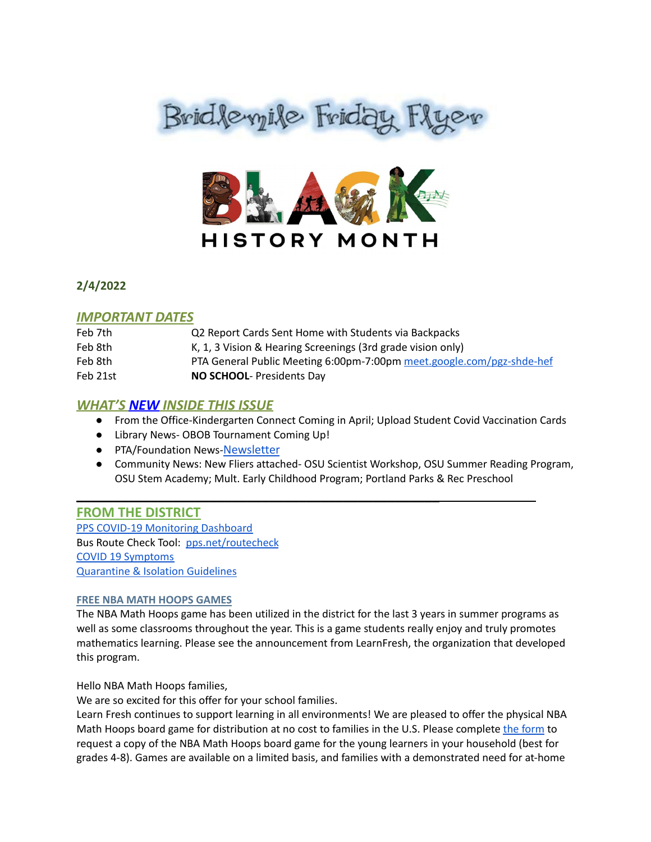



**2/4/2022**

## *IMPORTANT DATES*

| Feb 7th  | Q2 Report Cards Sent Home with Students via Backpacks                 |
|----------|-----------------------------------------------------------------------|
| Feb 8th  | K, 1, 3 Vision & Hearing Screenings (3rd grade vision only)           |
| Feb 8th  | PTA General Public Meeting 6:00pm-7:00pm meet.google.com/pgz-shde-hef |
| Feb 21st | NO SCHOOL- Presidents Day                                             |

## *WHAT'S NEW INSIDE THIS ISSUE*

- From the Office-Kindergarten Connect Coming in April; Upload Student Covid Vaccination Cards
- Library News- OBOB Tournament Coming Up!

\_\_\_\_\_\_\_\_\_\_\_\_\_\_\_\_\_\_\_\_\_\_\_\_\_\_\_\_\_\_\_\_\_\_\_\_\_\_\_\_\_\_\_\_\_\_\_\_\_

- PTA/Foundation News-[Newsletter](https://docs.google.com/document/u/1/d/e/2PACX-1vQlZCPHtKxqO7qpJwiwgoeaZ1ERHVLgg6z0JNYJMTulwn7xlOVY_X2I1ZV9nntsGHP57LEZ_uSufaFj/pub)
- Community News: New Fliers attached- OSU Scientist Workshop, OSU Summer Reading Program, OSU Stem Academy; Mult. Early Childhood Program; Portland Parks & Rec Preschool

## **FROM THE DISTRICT**

PPS COVID-19 [Monitoring](https://www.pps.net/COVID19Dashboard) Dashboard Bus Route Check Tool: [pps.net/routecheck](https://www.pps.net/routecheck) COVID 19 [Symptoms](https://www.cdc.gov/coronavirus/2019-ncov/symptoms-testing/symptoms.html) [Quarantine](https://www.cdc.gov/coronavirus/2019-ncov/your-health/quarantine-isolation.html#anchor_1642600273484) & Isolation Guidelines

#### **FREE NBA MATH HOOPS GAMES**

The NBA Math Hoops game has been utilized in the district for the last 3 years in summer programs as well as some classrooms throughout the year. This is a game students really enjoy and truly promotes mathematics learning. Please see the announcement from LearnFresh, the organization that developed this program.

Hello NBA Math Hoops families,

We are so excited for this offer for your school families.

Learn Fresh continues to support learning in all environments! We are pleased to offer the physical NBA Math Hoops board game for distribution at no cost to families in the U.S. Please complete the [form](https://u2011491.ct.sendgrid.net/ls/click?upn=jaNaxQeMF-2Bx9o0l9KgJe6g-2BcMenn2bTXzHZzHnRd-2Fonwyvyhppo-2BMkY3rI33YxCj-hWW_0n5LvVxQKEOWvDHe4OC-2B6hw07hMh9PYCOhr7inf8AYyC44Oxbi0YBj-2B-2BrMvyIGC98Fq0aOv7zZKoDqC36oX0LtIBYVJtPYdVb9b6hKVnNs1dT-2FoGyp3vAKKvo3yCe4tQK5SaKl-2Bfw7lg4oScnMSvMDXak0x68YY52qdrsgOfNgDSC-2BYOckjHpGP5Qa-2Bzp8KgTapakyHlb5i3lwH-2B4WD9yw-3D-3D) to request a copy of the NBA Math Hoops board game for the young learners in your household (best for grades 4-8). Games are available on a limited basis, and families with a demonstrated need for at-home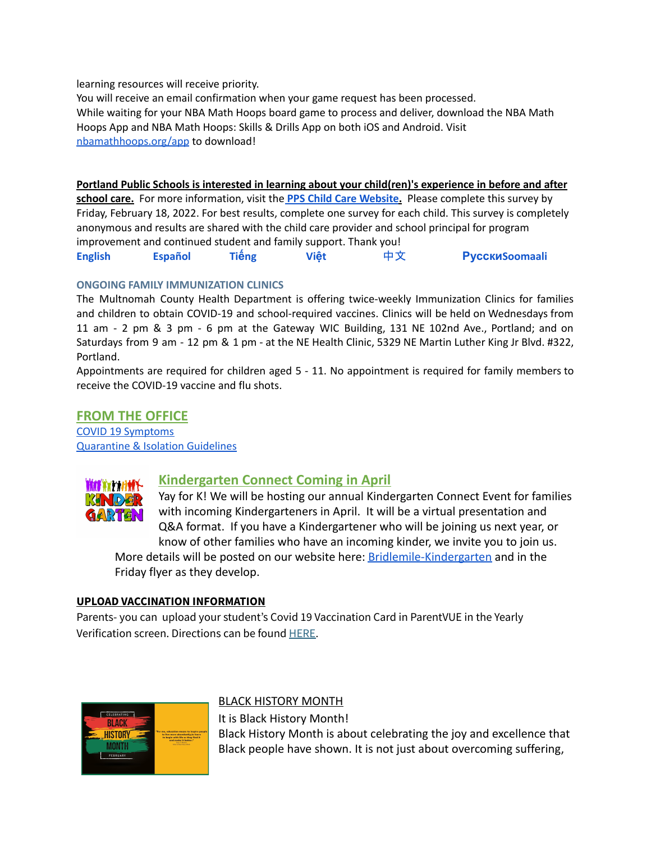learning resources will receive priority.

You will receive an email confirmation when your game request has been processed. While waiting for your NBA Math Hoops board game to process and deliver, downl[o](https://u2011491.ct.sendgrid.net/ls/click?upn=ah4J9JkylIab3FOOmoZ1cTiL4bQlWIolJ4gZ-2FndtFqCvqHR4VWDh9Gr03cYRPUfhBu5-_0n5LvVxQKEOWvDHe4OC-2B6hw07hMh9PYCOhr7inf8AYyC44Oxbi0YBj-2B-2BrMvyIGC9Buj-2BcFZYj0UwuVMhpBIR-2FM-2FF9YHO6wxz0d96X7-2Bbc34S6-2B7EMbDN9N8N41gX2d3GhiGEWzVoEtM6lVBEP51EvFWqVojX-2Fypubf2KyLReBrPAUH6yXHcL0cPs181GAWNOQWv9wSMecvAeAWoBeTxQXw-3D-3D)ad the NBA Math Hoops App and NBA Math Hoops: Skills & Drills App on both iOS and Android. Visit [nbamathhoops.org/app](https://u2011491.ct.sendgrid.net/ls/click?upn=ah4J9JkylIab3FOOmoZ1cTiL4bQlWIolJ4gZ-2FndtFqCvqHR4VWDh9Gr03cYRPUfhBu5-_0n5LvVxQKEOWvDHe4OC-2B6hw07hMh9PYCOhr7inf8AYyC44Oxbi0YBj-2B-2BrMvyIGC9Buj-2BcFZYj0UwuVMhpBIR-2FM-2FF9YHO6wxz0d96X7-2Bbc34S6-2B7EMbDN9N8N41gX2d3GhiGEWzVoEtM6lVBEP51EvFWqVojX-2Fypubf2KyLReBrPAUH6yXHcL0cPs181GAWNOQWv9wSMecvAeAWoBeTxQXw-3D-3D) to download!

**Portland Public Schools is interested in learning about your child(ren)'s experience in before and after school care.** For more information, visit the **PPS Child Care [Website](https://www.pps.net/Domain/184).** Please complete this survey by Friday, February 18, 2022. For best results, complete one survey for each child. This survey is completely anonymous and results are shared with the child care provider and school principal for program improvement and continued student and family support. Thank you[!](https://docs.google.com/forms/d/e/1FAIpQLSe4ju_KHhNDrYUTpQspHOKeHsD30YX7RYNktKVNLNI1ucNepw/viewform) **[English](https://docs.google.com/forms/d/e/1FAIpQLSe4ju_KHhNDrYUTpQspHOKeHsD30YX7RYNktKVNLNI1ucNepw/viewform) [Español](https://docs.google.com/forms/d/e/1FAIpQLSfT162f9kmF2K4uFUCeqewRpLVSkIpIzp-Tj-3UrtpjUJC10A/viewform) Tiế[ng](https://docs.google.com/forms/d/e/1FAIpQLSf0XMr-Rb2DMgB6_FpBuoFk-jj__wrg64UwJMtLo0Cc-N2yzw/viewform) Việt** [中文](https://docs.google.com/forms/d/e/1FAIpQLSfwtKUiF46xdxHEOT7q2SE5Mv1-RN1LJZEtgrvzhQOtRVDiuw/viewform) **[Русски](https://docs.google.com/forms/d/e/1FAIpQLSebLU_9cDi8U-m8LxcMbt13b2FISUl9npq3zj9Jx0R7epIgYg/viewform)[Soomaali](https://docs.google.com/forms/d/e/1FAIpQLSee-BW5UjE-UACVQLN-oEQLaI5PwcaA0FswL5tMSqPZW09qlA/viewform)**

#### **ONGOING FAMILY IMMUNIZATION CLINICS**

The Multnomah County Health Department is offering twice-weekly Immunization Clinics for families and children to obtain COVID-19 and school-required vaccines. Clinics will be held on Wednesdays from 11 am - 2 pm & 3 pm - 6 pm at the Gateway WIC Building, 131 NE 102nd Ave., Portland; and on Saturdays from 9 am - 12 pm & 1 pm - at the NE Health Clinic, 5329 NE Martin Luther King Jr Blvd. #322, Portland.

Appointments are required for children aged 5 - 11. No appointment is required for family members to receive the COVID-19 vaccine and flu shots.

#### **FROM THE OFFICE** COVID 19 [Symptoms](https://www.cdc.gov/coronavirus/2019-ncov/symptoms-testing/symptoms.html) [Quarantine](https://www.cdc.gov/coronavirus/2019-ncov/your-health/quarantine-isolation.html#anchor_1642600273484) & Isolation Guidelines



## **Kindergarten Connect Coming in April**

Yay for K! We will be hosting our annual Kindergarten Connect Event for families with incoming Kindergarteners in April. It will be a virtual presentation and Q&A format. If you have a Kindergartener who will be joining us next year, or know of other families who have an incoming kinder, we invite you to join us.

More details will be posted on our website here: [Bridlemile-Kindergarten](https://www.pps.net/domain/6393) and in the Friday flyer as they develop.

#### **UPLOAD VACCINATION INFORMATION**

Parents- you can upload your student's Covid 19 Vaccination Card in ParentVUE in the Yearly Verification screen. Directions can be found [HERE](https://docs.google.com/document/d/1AxHhVVEjAqJxV1Vuh9PnfwkZHcp-Tde_x6iFOOEy58Y/edit).



#### BLACK HISTORY MONTH

It is Black History Month! Black History Month is about celebrating the joy and excellence that Black people have shown. It is not just about overcoming suffering,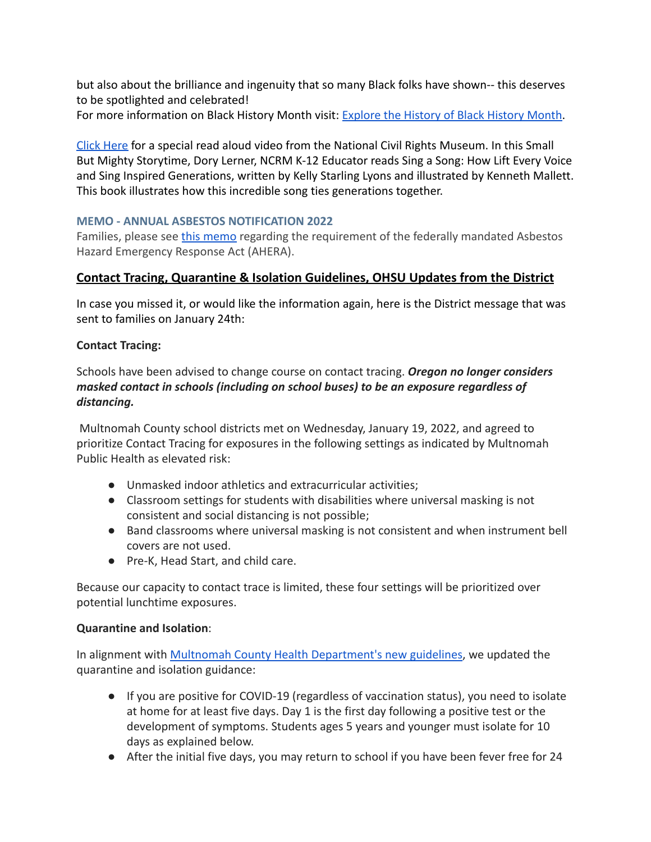but also about the brilliance and ingenuity that so many Black folks have shown-- this deserves to be spotlighted and celebrated!

For more information on Black History Month visit: [Explore the History of Black History Month.](https://kids.nationalgeographic.com/history/article/black-history-month)

[Click Here](https://kids.nationalgeographic.com/history/article/black-history-month) for a special read aloud video from the National Civil Rights Museum. In this Small But Mighty Storytime, Dory Lerner, NCRM K-12 Educator reads Sing a Song: How Lift Every Voice and Sing Inspired Generations, written by Kelly Starling Lyons and illustrated by Kenneth Mallett. This book illustrates how this incredible song ties generations together.

# **MEMO - ANNUAL ASBESTOS NOTIFICATION 2022**

Families, please see [this memo](https://drive.google.com/file/d/1o-OqmzbCtFeeyiRGrhCpzCpNyTw1z2K9/view?usp=sharing) regarding the requirement of the federally mandated Asbestos Hazard Emergency Response Act (AHERA).

# **Contact Tracing, Quarantine & Isolation Guidelines, OHSU Updates from the District**

In case you missed it, or would like the information again, here is the District message that was sent to families on January 24th:

## **Contact Tracing:**

Schools have been advised to change course on contact tracing. *Oregon no longer considers masked contact in schools (including on school buses) to be an exposure regardless of distancing.*

Multnomah County school districts met on Wednesday, January 19, 2022, and agreed to prioritize Contact Tracing for exposures in the following settings as indicated by Multnomah Public Health as elevated risk:

- Unmasked indoor athletics and extracurricular activities;
- Classroom settings for students with disabilities where universal masking is not consistent and social distancing is not possible;
- Band classrooms where universal masking is not consistent and when instrument bell covers are not used.
- Pre-K, Head Start, and child care.

Because our capacity to contact trace is limited, these four settings will be prioritized over potential lunchtime exposures.

## **Quarantine and Isolation**:

In alignment with [Multnomah County Health Department's](http://track.spe.schoolmessenger.com/f/a/bniDJp4szQx91HO9o50SNg~~/AAAAAQA~/RgRj0JfZP0RgaHR0cHM6Ly93d3cubXVsdGNvLnVzL25vdmVsLWNvcm9uYXZpcnVzLWNvdmlkLTE5L3VuZGVyc3RhbmRpbmctaXNvbGF0aW9uLWFuZC1xdWFyYW50aW5lI3Bvc2l0aXZlVwdzY2hvb2xtQgph31lk72EJLjOIUhBkYnVybGluZ0BwcHMubmV0WAQAAAAB) new guidelines, we updated the quarantine and isolation guidance:

- If you are positive for COVID-19 (regardless of vaccination status), you need to isolate at home for at least five days. Day 1 is the first day following a positive test or the development of symptoms. Students ages 5 years and younger must isolate for 10 days as explained below.
- After the initial five days, you may return to school if you have been fever free for 24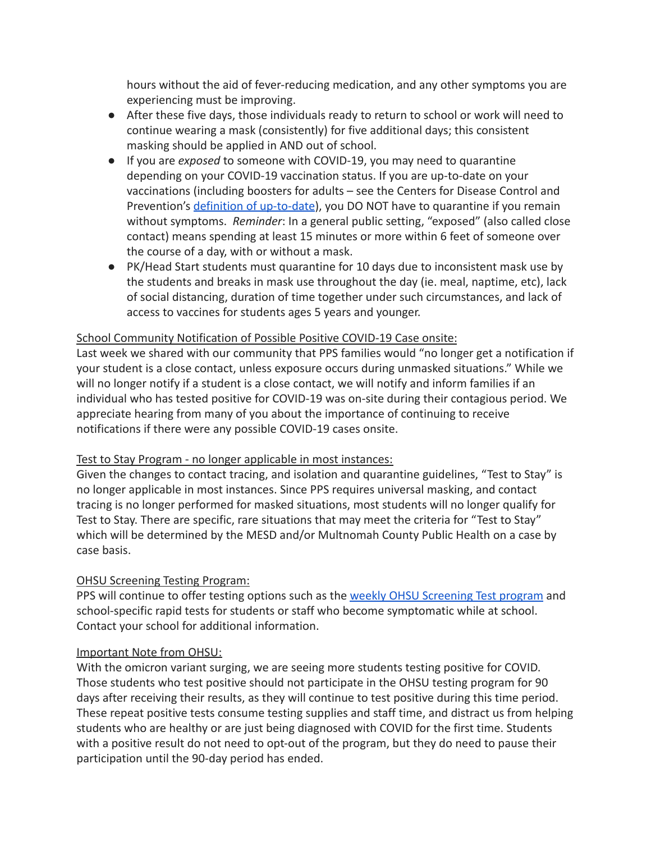hours without the aid of fever-reducing medication, and any other symptoms you are experiencing must be improving.

- After these five days, those individuals ready to return to school or work will need to continue wearing a mask (consistently) for five additional days; this consistent masking should be applied in AND out of school.
- If you are *exposed* to someone with COVID-19, you may need to quarantine depending on your COVID-19 vaccination status. If you are up-to-date on your vaccinations (including boosters for adults – see the Centers for Disease Control and Prevention's [definition of up-to-date](http://track.spe.schoolmessenger.com/f/a/ORuTahZ1mkZ0RE8jzNNHjQ~~/AAAAAQA~/RgRj0JfZP0RHaHR0cHM6Ly93d3cuY2RjLmdvdi9jb3JvbmF2aXJ1cy8yMDE5LW5jb3YvdmFjY2luZXMvc3RheS11cC10by1kYXRlLmh0bWxXB3NjaG9vbG1CCmHfWWTvYQkuM4hSEGRidXJsaW5nQHBwcy5uZXRYBAAAAAE~)), you DO NOT have to quarantine if you remain without symptoms. *Reminder*: In a general public setting, "exposed" (also called close contact) means spending at least 15 minutes or more within 6 feet of someone over the course of a day, with or without a mask.
- PK/Head Start students must quarantine for 10 days due to inconsistent mask use by the students and breaks in mask use throughout the day (ie. meal, naptime, etc), lack of social distancing, duration of time together under such circumstances, and lack of access to vaccines for students ages 5 years and younger.

## School Community Notification of Possible Positive COVID-19 Case onsite:

Last week we shared with our community that PPS families would "no longer get a notification if your student is a close contact, unless exposure occurs during unmasked situations." While we will no longer notify if a student is a close contact, we will notify and inform families if an individual who has tested positive for COVID-19 was on-site during their contagious period. We appreciate hearing from many of you about the importance of continuing to receive notifications if there were any possible COVID-19 cases onsite.

## Test to Stay Program - no longer applicable in most instances:

Given the changes to contact tracing, and isolation and quarantine guidelines, "Test to Stay" is no longer applicable in most instances. Since PPS requires universal masking, and contact tracing is no longer performed for masked situations, most students will no longer qualify for Test to Stay. There are specific, rare situations that may meet the criteria for "Test to Stay" which will be determined by the MESD and/or Multnomah County Public Health on a case by case basis.

## OHSU Screening Testing Program:

PPS will continue to offer testing options such as the [weekly OHSU Screening Test program](http://track.spe.schoolmessenger.com/f/a/kFSTmdwIq9K3AT47D9Saww~~/AAAAAQA~/RgRj0JfZP0Q7aHR0cHM6Ly93d3cub2hzdS5lZHUvaGVhbHRoL2stMTItY292aWQtMTktc2NyZWVuaW5nLXByb2dyYW1XB3NjaG9vbG1CCmHfWWTvYQkuM4hSEGRidXJsaW5nQHBwcy5uZXRYBAAAAAE~) and school-specific rapid tests for students or staff who become symptomatic while at school. Contact your school for additional information.

## Important Note from OHSU:

With the omicron variant surging, we are seeing more students testing positive for COVID. Those students who test positive should not participate in the OHSU testing program for 90 days after receiving their results, as they will continue to test positive during this time period. These repeat positive tests consume testing supplies and staff time, and distract us from helping students who are healthy or are just being diagnosed with COVID for the first time. Students with a positive result do not need to opt-out of the program, but they do need to pause their participation until the 90-day period has ended.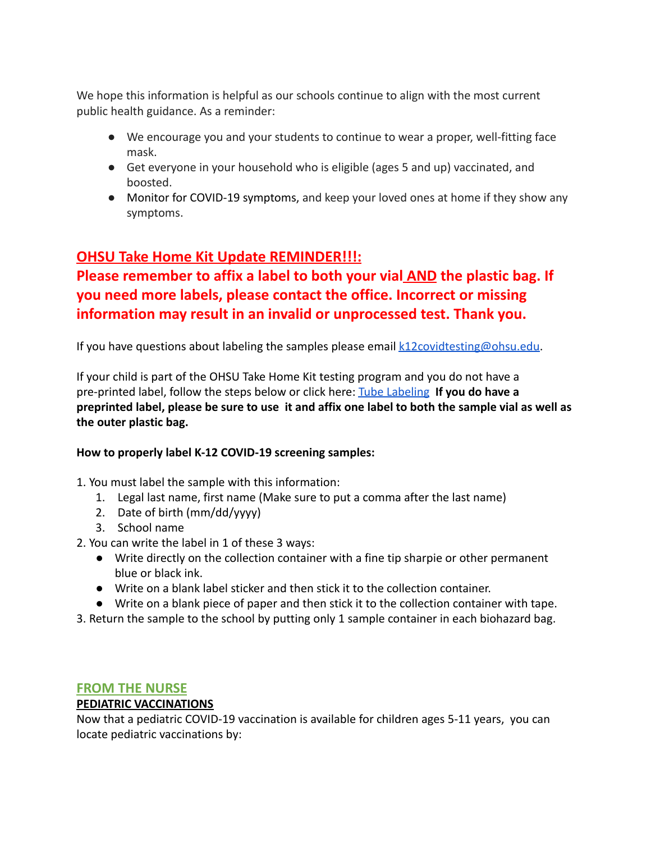We hope this information is helpful as our schools continue to align with the most current public health guidance. As a reminder:

- We encourage you and your students to continue to wear a proper, well-fitting face mask.
- Get everyone in your household who is eligible (ages 5 and up) vaccinated, and boosted.
- [Monitor for COVID-19 symptoms,](http://track.spe.schoolmessenger.com/f/a/KdQd-nEjNl1QA5kQAlfwMg~~/AAAAAQA~/RgRj0JfZP0RSaHR0cHM6Ly9kcml2ZS5nb29nbGUuY29tL2ZpbGUvZC8xSkNDel9zTDhjUG5MM1l0OWgzaE1NTVNUQU51YWN2WWMvdmlldz91c3A9c2hhcmluZ1cHc2Nob29sbUIKYd9ZZO9hCS4ziFIQZGJ1cmxpbmdAcHBzLm5ldFgEAAAAAQ~~) and keep your loved ones at home if they show any symptoms.

# **OHSU Take Home Kit Update REMINDER!!!:**

# **Please remember to affix a label to both your vial AND the plastic bag. If you need more labels, please contact the office. Incorrect or missing information may result in an invalid or unprocessed test. Thank you.**

If you have questions about labeling the samples please email  $k12$ covidtesting@ohsu.edu.

If your child is part of the OHSU Take Home Kit testing program and you do not have a pre-printed label, follow the steps below or click here: [Tube Labeling](https://drive.google.com/file/d/12DJPgCLKGh6HKLIVwIbdY0qCuDRmFivT/view) **If you do have a preprinted label, please be sure to use it and affix one label to both the sample vial as well as the outer plastic bag.**

## **How to properly label K-12 COVID-19 screening samples:**

1. You must label the sample with this information:

- 1. Legal last name, first name (Make sure to put a comma after the last name)
- 2. Date of birth (mm/dd/yyyy)
- 3. School name
- 2. You can write the label in 1 of these 3 ways:
	- Write directly on the collection container with a fine tip sharpie or other permanent blue or black ink.
	- Write on a blank label sticker and then stick it to the collection container.
	- Write on a blank piece of paper and then stick it to the collection container with tape.
- 3. Return the sample to the school by putting only 1 sample container in each biohazard bag.

# **FROM THE NURSE**

# **PEDIATRIC VACCINATIONS**

Now that a pediatric COVID-19 vaccination is available for children ages 5-11 years, you can locate pediatric vaccinations by: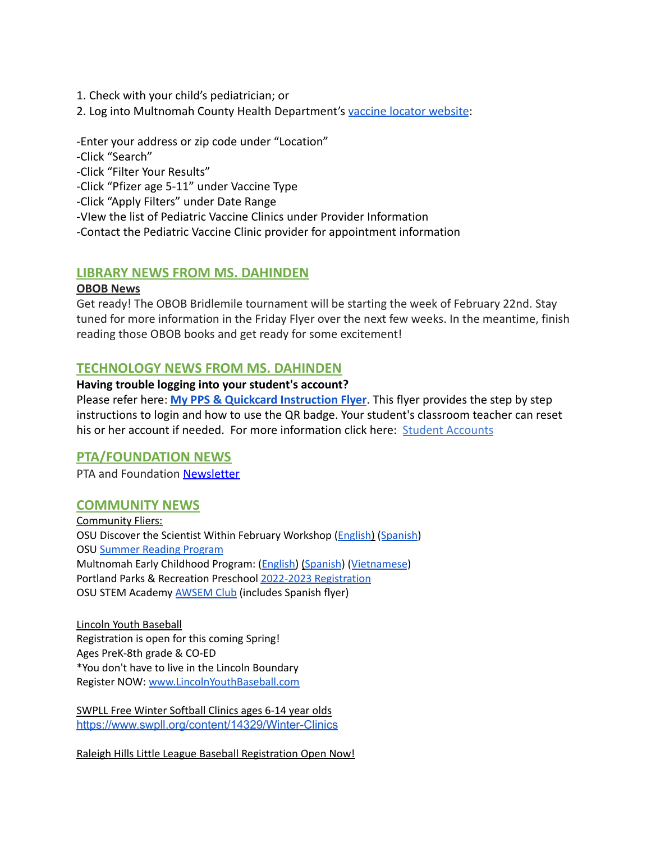- 1. Check with your child's pediatrician; or
- 2. Log into Multnomah County Health Department's vaccine [locator website](https://getvaccinated.oregon.gov/#/locator):

-Enter your address or zip code under "Location"

-Click "Search"

-Click "Filter Your Results"

-Click "Pfizer age 5-11" under Vaccine Type

-Click "Apply Filters" under Date Range

-VIew the list of Pediatric Vaccine Clinics under Provider Information

-Contact the Pediatric Vaccine Clinic provider for appointment information

#### **LIBRARY NEWS FROM MS. DAHINDEN**

#### **OBOB News**

Get ready! The OBOB Bridlemile tournament will be starting the week of February 22nd. Stay tuned for more information in the Friday Flyer over the next few weeks. In the meantime, finish reading those OBOB books and get ready for some excitement!

## **TECHNOLOGY NEWS FROM MS. DAHINDEN**

#### **Having trouble logging into your student's account?**

Please refer here: **[My PPS & Quickcard Instruction](https://docs.google.com/presentation/d/19yIcV1uxbkuSpc0Gd_p5t0V--EJk0WPrv9ZbscbQiQU/edit?usp=sharing) Flyer**. This flyer provides the step by step instructions to login and how to use the QR badge. Your student's classroom teacher can reset his or her account if needed. For more information click here: [Student Accounts](https://www.pps.net/Page/1910)

## **PTA/FOUNDATION NEWS**

PTA and Foundation [Newsletter](https://docs.google.com/document/u/1/d/e/2PACX-1vQlZCPHtKxqO7qpJwiwgoeaZ1ERHVLgg6z0JNYJMTulwn7xlOVY_X2I1ZV9nntsGHP57LEZ_uSufaFj/pub)

#### **COMMUNITY NEWS**

Community Fliers: OSU Discover the Scientist Within February Workshop ([English](https://www.pps.net/cms/lib/OR01913224/Centricity/Domain/254/FebDSW2022Flyer.pdf)) ([Spanish\)](https://www.pps.net/cms/lib/OR01913224/Centricity/Domain/254/FebDSW2022FlyerSpanish.pdf) OSU Summer Reading [Program](https://www.pps.net/cms/lib/OR01913224/Centricity/Domain/254/OSU-reading-summer-2022.pdf) Multnomah Early Childhood Program: [\(English\)](https://www.pps.net/cms/lib/OR01913224/Centricity/Domain/254/MECP-2021-22-PEER-Flyer-English.pdf) ([Spanish](https://www.pps.net/cms/lib/OR01913224/Centricity/Domain/254/MECP-2021-22-PEER-Flyer-Spanish.pdf)) ([Vietnamese](https://www.pps.net/cms/lib/OR01913224/Centricity/Domain/254/MECP-2021-22-PEER-Flyer-Vietnamese.pdf)) Portland Parks & Recreation Preschool 2022-2023 [Registration](https://www.pps.net/cms/lib/OR01913224/Centricity/Domain/254/PPR-Preschool-22-23-price-sheet.pdf) OSU STEM Academy [AWSEM](https://www.pps.net/cms/lib/OR01913224/Centricity/Domain/254/AWSEM_Flyer_Combined_General.pdf) Club (includes Spanish flyer)

Lincoln Youth Baseball Registration is open for this coming Spring! Ages PreK-8th grade & CO-ED \*You don't have to live in the Lincoln Boundary Register NOW: [www.LincolnYouthBaseball.com](http://www.lincolnyouthbaseball.com/)

SWPLL Free Winter Softball Clinics ages 6-14 year olds <https://www.swpll.org/content/14329/Winter-Clinics>

Raleigh Hills Little League Baseball Registration Open Now!